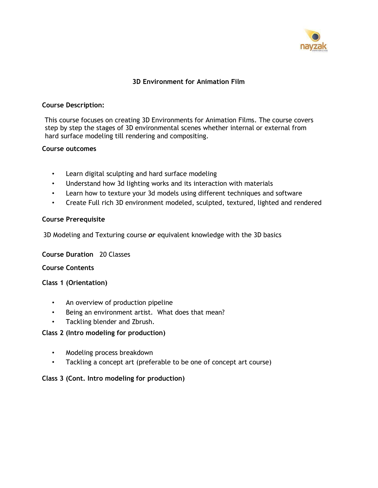

## **3D Environment for Animation Film**

#### **Course Description:**

This course focuses on creating 3D Environments for Animation Films. The course covers step by step the stages of 3D environmental scenes whether internal or external from hard surface modeling till rendering and compositing.

#### **Course outcomes**

- Learn digital sculpting and hard surface modeling
- Understand how 3d lighting works and its interaction with materials
- Learn how to texture your 3d models using different techniques and software
- Create Full rich 3D environment modeled, sculpted, textured, lighted and rendered

#### **Course Prerequisite**

3D Modeling and Texturing course *or* equivalent knowledge with the 3D basics

**Course Duration** 20 Classes

**Course Contents**

**Class 1 (Orientation)**

- An overview of production pipeline
- Being an environment artist. What does that mean?
- Tackling blender and Zbrush.

### **Class 2 (Intro modeling for production)**

- Modeling process breakdown
- Tackling a concept art (preferable to be one of concept art course)

### **Class 3 (Cont. Intro modeling for production)**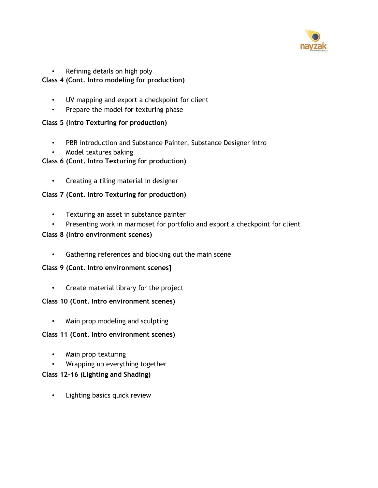

# • Refining details on high poly

## **Class 4 (Cont. Intro modeling for production)**

- UV mapping and export a checkpoint for client
- Prepare the model for texturing phase

### **Class 5 (Intro Texturing for production)**

- PBR introduction and Substance Painter, Substance Designer intro
- Model textures baking

## **Class 6 (Cont. Intro Texturing for production)**

• Creating a tiling material in designer

## **Class 7 (Cont. Intro Texturing for production)**

- Texturing an asset in substance painter
- Presenting work in marmoset for portfolio and export a checkpoint for client

### **Class 8 (Intro environment scenes)**

• Gathering references and blocking out the main scene

### **Class 9 (Cont. Intro environment scenes]**

• Create material library for the project

### **Class 10 (Cont. Intro environment scenes)**

• Main prop modeling and sculpting

### **Class 11 (Cont. Intro environment scenes)**

- Main prop texturing
- Wrapping up everything together

### **Class 12-16 (Lighting and Shading)**

• Lighting basics quick review